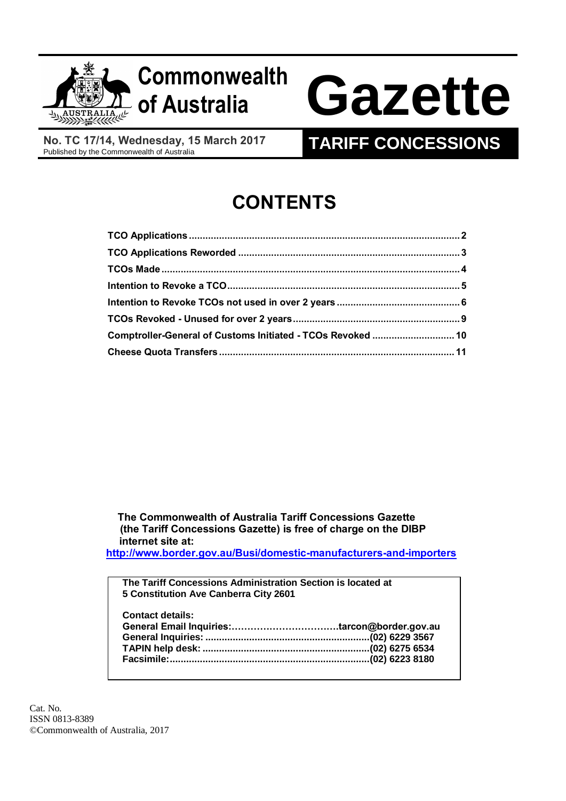

## **Commonwealth**

# **of Australia Gazette**

**No. TC 17/14, Wednesday, 15 March 2017**

### **TARIFF CONCESSIONS**

## **CONTENTS**

| Comptroller-General of Customs Initiated - TCOs Revoked  10 |  |
|-------------------------------------------------------------|--|
|                                                             |  |

 **The Commonwealth of Australia Tariff Concessions Gazette (the Tariff Concessions Gazette) is free of charge on the DIBP internet site at:**

**<http://www.border.gov.au/Busi/domestic-manufacturers-and-importers>**

| The Tariff Concessions Administration Section is located at |  |
|-------------------------------------------------------------|--|
| 5 Constitution Ave Canberra City 2601                       |  |
|                                                             |  |
| <b>Contact details:</b>                                     |  |
|                                                             |  |
|                                                             |  |
|                                                             |  |
|                                                             |  |
|                                                             |  |

Cat. No. ISSN 0813-8389 ©Commonwealth of Australia, 2017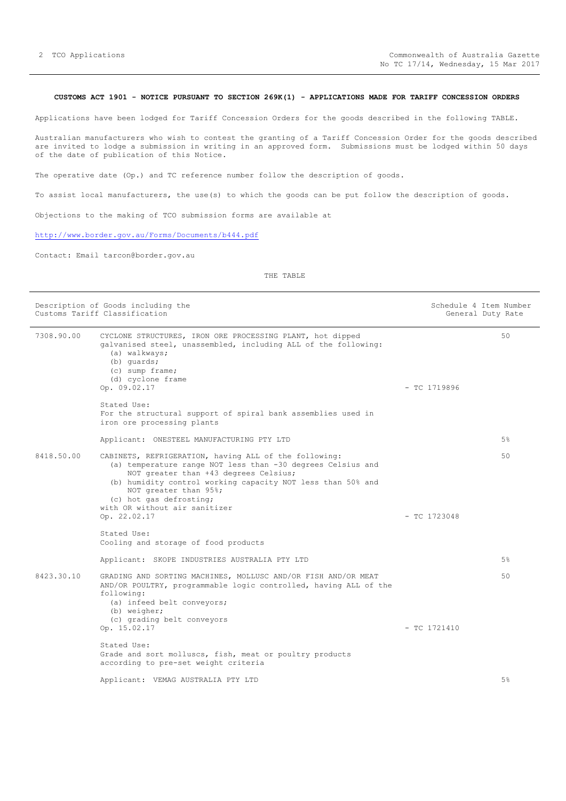#### <span id="page-1-0"></span>**CUSTOMS ACT 1901 - NOTICE PURSUANT TO SECTION 269K(1) - APPLICATIONS MADE FOR TARIFF CONCESSION ORDERS**

Applications have been lodged for Tariff Concession Orders for the goods described in the following TABLE.

Australian manufacturers who wish to contest the granting of a Tariff Concession Order for the goods described are invited to lodge a submission in writing in an approved form. Submissions must be lodged within 50 days of the date of publication of this Notice.

The operative date (Op.) and TC reference number follow the description of goods.

To assist local manufacturers, the use(s) to which the goods can be put follow the description of goods.

Objections to the making of TCO submission forms are available at

<http://www.border.gov.au/Forms/Documents/b444.pdf>

Contact: Email tarcon@border.gov.au

#### THE TABLE

|            | Description of Goods including the<br>Customs Tariff Classification                                                                                                                                                                                                                                               |                | Schedule 4 Item Number<br>General Duty Rate |
|------------|-------------------------------------------------------------------------------------------------------------------------------------------------------------------------------------------------------------------------------------------------------------------------------------------------------------------|----------------|---------------------------------------------|
| 7308.90.00 | CYCLONE STRUCTURES, IRON ORE PROCESSING PLANT, hot dipped<br>galvanised steel, unassembled, including ALL of the following:<br>(a) walkways;<br>(b) quards;<br>$(c)$ sump frame;<br>(d) cyclone frame<br>Op. 09.02.17                                                                                             | $-$ TC 1719896 | 50                                          |
|            | Stated Use:<br>For the structural support of spiral bank assemblies used in<br>iron ore processing plants                                                                                                                                                                                                         |                |                                             |
|            | Applicant: ONESTEEL MANUFACTURING PTY LTD                                                                                                                                                                                                                                                                         |                | 5%                                          |
| 8418.50.00 | CABINETS, REFRIGERATION, having ALL of the following:<br>(a) temperature range NOT less than -30 degrees Celsius and<br>NOT greater than +43 degrees Celsius;<br>(b) humidity control working capacity NOT less than 50% and<br>NOT greater than 95%;<br>(c) hot gas defrosting;<br>with OR without air sanitizer |                | 50                                          |
|            | Op. 22.02.17<br>Stated Use:<br>Cooling and storage of food products                                                                                                                                                                                                                                               | $-$ TC 1723048 |                                             |
|            | Applicant: SKOPE INDUSTRIES AUSTRALIA PTY LTD                                                                                                                                                                                                                                                                     |                | 5%                                          |
| 8423.30.10 | GRADING AND SORTING MACHINES, MOLLUSC AND/OR FISH AND/OR MEAT<br>AND/OR POULTRY, programmable logic controlled, having ALL of the<br>following:<br>(a) infeed belt conveyors;<br>(b) weigher;                                                                                                                     |                | 50                                          |
|            | (c) grading belt conveyors<br>Op. 15.02.17                                                                                                                                                                                                                                                                        | $-$ TC 1721410 |                                             |
|            | Stated Use:<br>Grade and sort molluscs, fish, meat or poultry products<br>according to pre-set weight criteria                                                                                                                                                                                                    |                |                                             |
|            | Applicant: VEMAG AUSTRALIA PTY LTD                                                                                                                                                                                                                                                                                |                | 5%                                          |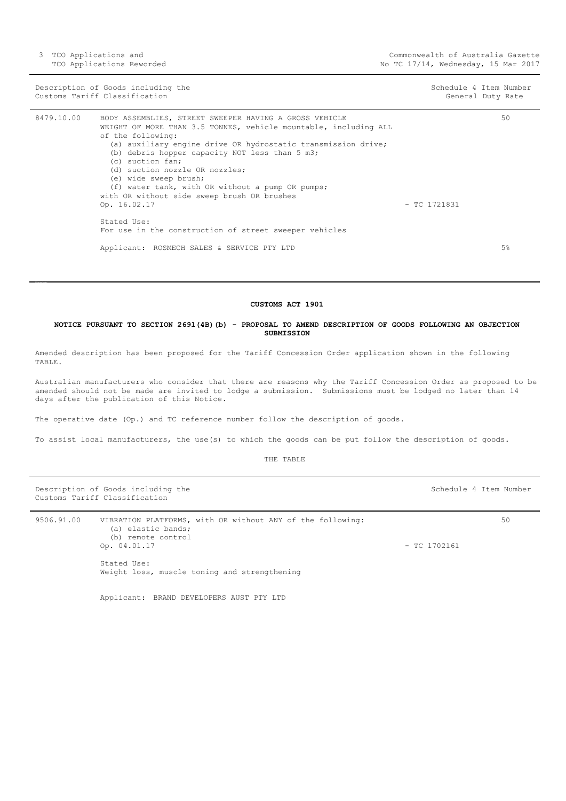Description of Goods including the Schedule 4 Item Number<br>
Customs Tariff Classification (Seneral Duty Rate ) and Schedule 4 Item Number<br>
Customs Tariff Classification Customs Tariff Classification

| 8479.10.00 | BODY ASSEMBLIES, STREET SWEEPER HAVING A GROSS VEHICLE<br>WEIGHT OF MORE THAN 3.5 TONNES, vehicle mountable, including ALL<br>of the following:<br>(a) auxiliary engine drive OR hydrostatic transmission drive;<br>(b) debris hopper capacity NOT less than 5 m3;<br>(c) suction fan;<br>(d) suction nozzle OR nozzles;<br>(e) wide sweep brush;<br>(f) water tank, with OR without a pump OR pumps;<br>with OR without side sweep brush OR brushes<br>Op. 16.02.17<br>Stated Use:<br>For use in the construction of street sweeper vehicles | $-$ TC 1721831 | 50 |
|------------|-----------------------------------------------------------------------------------------------------------------------------------------------------------------------------------------------------------------------------------------------------------------------------------------------------------------------------------------------------------------------------------------------------------------------------------------------------------------------------------------------------------------------------------------------|----------------|----|
|            | Applicant: ROSMECH SALES & SERVICE PTY LTD                                                                                                                                                                                                                                                                                                                                                                                                                                                                                                    |                | 5% |
|            |                                                                                                                                                                                                                                                                                                                                                                                                                                                                                                                                               |                |    |

#### **CUSTOMS ACT 1901**

#### <span id="page-2-0"></span>**NOTICE PURSUANT TO SECTION 269l(4B)(b) - PROPOSAL TO AMEND DESCRIPTION OF GOODS FOLLOWING AN OBJECTION SUBMISSION**

Amended description has been proposed for the Tariff Concession Order application shown in the following TABLE.

Australian manufacturers who consider that there are reasons why the Tariff Concession Order as proposed to be amended should not be made are invited to lodge a submission. Submissions must be lodged no later than 14 days after the publication of this Notice.

The operative date (Op.) and TC reference number follow the description of goods.

To assist local manufacturers, the use(s) to which the goods can be put follow the description of goods.

THE TABLE

Description of Goods including the Schedule 4 Item Number Customs Tariff Classification

9506.91.00 VIBRATION PLATFORMS, with OR without ANY of the following: (a) elastic bands; (b) remote control Op. 04.01.17 - TC 1702161 Stated Use: Weight loss, muscle toning and strengthening  $50$ 

Applicant: BRAND DEVELOPERS AUST PTY LTD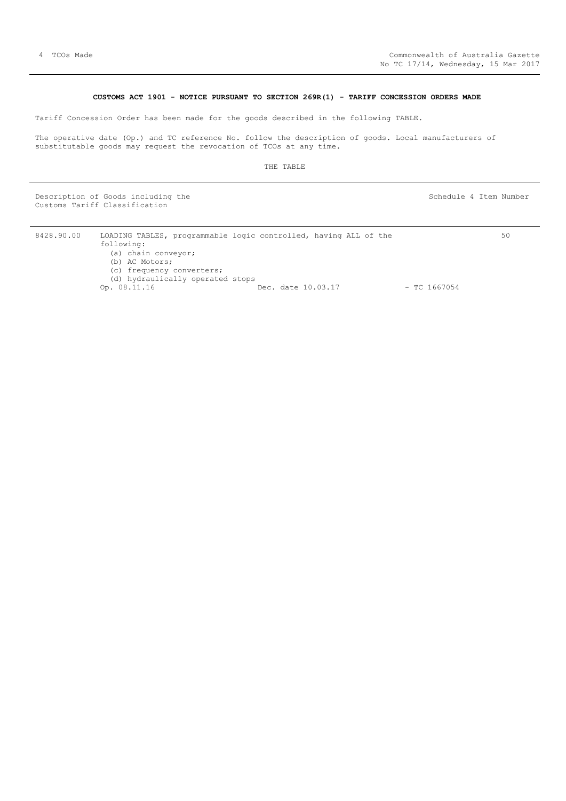#### **CUSTOMS ACT 1901 - NOTICE PURSUANT TO SECTION 269R(1) - TARIFF CONCESSION ORDERS MADE**

<span id="page-3-0"></span>Tariff Concession Order has been made for the goods described in the following TABLE.

The operative date (Op.) and TC reference No. follow the description of goods. Local manufacturers of substitutable goods may request the revocation of TCOs at any time.

THE TABLE

Description of Goods including the Schedule 4 Item Number (Schedule 4 Item Number Customs Tariff Classification

| 8428.90.00 | LOADING TABLES, programmable logic controlled, having ALL of the |                    | 50             |
|------------|------------------------------------------------------------------|--------------------|----------------|
|            | following:                                                       |                    |                |
|            | (a) chain conveyor;                                              |                    |                |
|            | (b) AC Motors;                                                   |                    |                |
|            | (c) frequency converters;                                        |                    |                |
|            | (d) hydraulically operated stops                                 |                    |                |
|            | Op. 08.11.16                                                     | Dec. date 10.03.17 | $-$ TC 1667054 |
|            |                                                                  |                    |                |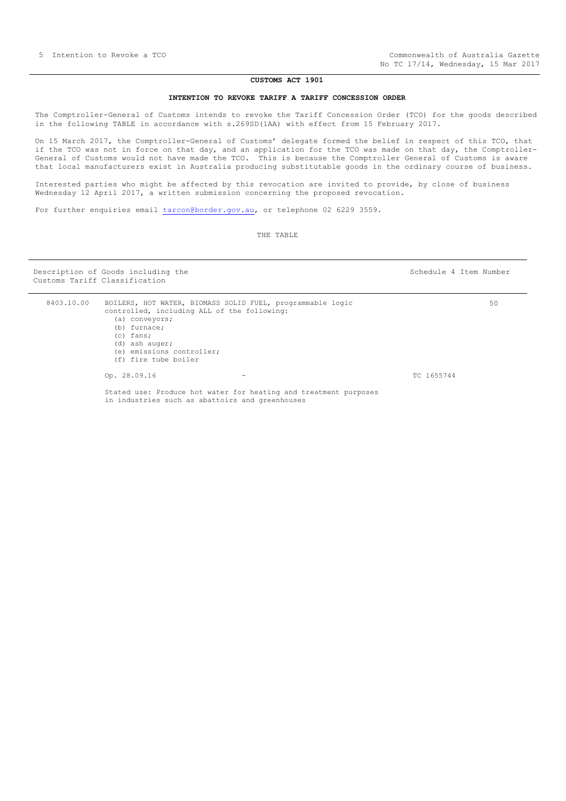#### **CUSTOMS ACT 1901**

#### **INTENTION TO REVOKE TARIFF A TARIFF CONCESSION ORDER**

<span id="page-4-0"></span>The Comptroller-General of Customs intends to revoke the Tariff Concession Order (TCO) for the goods described in the following TABLE in accordance with s.269SD(1AA) with effect from 15 February 2017.

On 15 March 2017, the Comptroller-General of Customs' delegate formed the belief in respect of this TCO, that if the TCO was not in force on that day, and an application for the TCO was made on that day, the Comptroller-General of Customs would not have made the TCO. This is because the Comptroller General of Customs is aware that local manufacturers exist in Australia producing substitutable goods in the ordinary course of business.

Interested parties who might be affected by this revocation are invited to provide, by close of business Wednesday 12 April 2017, a written submission concerning the proposed revocation.

For further enquiries email [tarcon@border.gov.au,](mailto:tarcon@border.gov.au) or telephone 02 6229 3559.

THE TABLE

Description of Goods including the Schedule 4 Item Number Customs Tariff Classification

 $50$ 

| 8403.10.00 | BOILERS, HOT WATER, BIOMASS SOLID FUEL, programmable logic<br>controlled, including ALL of the following:<br>(a) conveyors;<br>$(b)$ furnace;<br>$(c)$ fans;<br>(d) ash auger;<br>(e) emissions controller; |            |
|------------|-------------------------------------------------------------------------------------------------------------------------------------------------------------------------------------------------------------|------------|
|            | (f) fire tube boiler                                                                                                                                                                                        |            |
|            | Op. 28.09.16                                                                                                                                                                                                | TC 1655744 |
|            | Stated use: Produce hot water for heating and treatment purposes<br>in industries such as abattoirs and greenhouses                                                                                         |            |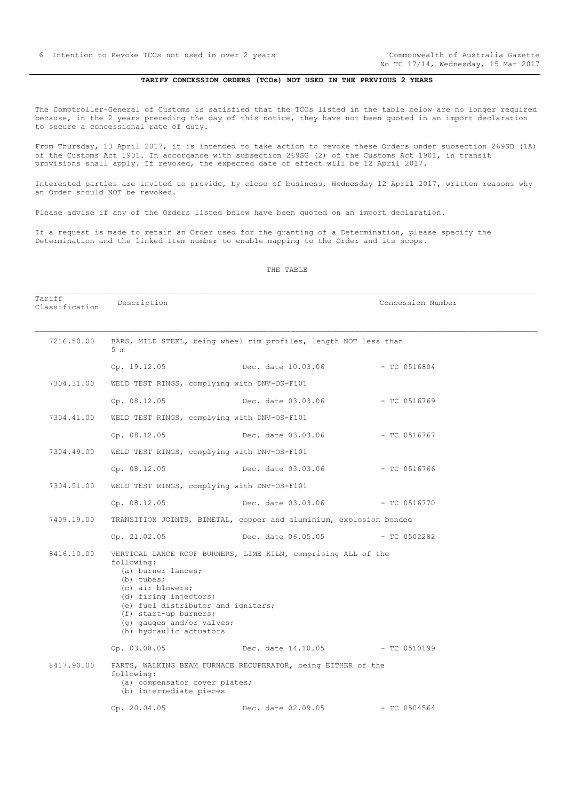No TC 17/14, Wednesday, 15 Mar 2017

#### **TARIFF CONCESSION ORDERS (TCOs) NOT USED IN THE PREVIOUS 2 YEARS**

<span id="page-5-0"></span>The Comptroller-General of Customs is satisfied that the TCOs listed in the table below are no longer required because, in the 2 years preceding the day of this notice, they have not been quoted in an import declaration to secure a concessional rate of duty.

From Thursday, 13 April 2017, it is intended to take action to revoke these Orders under subsection 269SD (1A) of the Customs Act 1901. In accordance with subsection 269SG (2) of the Customs Act 1901, in transit provisions shall apply. If revoked, the expected date of effect will be 12 April 2017.

Interested parties are invited to provide, by close of business, Wednesday 12 April 2017, written reasons why an Order should NOT be revoked.

Please advise if any of the Orders listed below have been quoted on an import declaration.

If a request is made to retain an Order used for the granting of a Determination, please specify the Determination and the linked Item number to enable mapping to the Order and its scope.

#### THE TABLE

Tariff Classification Description Concession Number

| 7216.50.00 | 5 <sub>m</sub>                                                                                                                                                                                                     | BARS, MILD STEEL, being wheel rim profiles, length NOT less than   |                |
|------------|--------------------------------------------------------------------------------------------------------------------------------------------------------------------------------------------------------------------|--------------------------------------------------------------------|----------------|
|            | Op. 19.12.05                                                                                                                                                                                                       | Dec. date 10.03.06                                                 | - TC 0516804   |
| 7304.31.00 | WELD TEST RINGS, complying with DNV-OS-F101                                                                                                                                                                        |                                                                    |                |
|            | Op. 08.12.05                                                                                                                                                                                                       | Dec. date 03.03.06                                                 | - TC 0516769   |
| 7304.41.00 | WELD TEST RINGS, complying with DNV-OS-F101                                                                                                                                                                        |                                                                    |                |
|            | Op. 08.12.05                                                                                                                                                                                                       | Dec. date 03.03.06                                                 | - TC 0516767   |
| 7304.49.00 | WELD TEST RINGS, complying with DNV-OS-F101                                                                                                                                                                        |                                                                    |                |
|            | Op. 08.12.05                                                                                                                                                                                                       | Dec. date 03.03.06                                                 | $-$ TC 0516766 |
| 7304.51.00 | WELD TEST RINGS, complying with DNV-OS-F101                                                                                                                                                                        |                                                                    |                |
|            | Op. 08.12.05                                                                                                                                                                                                       | Dec. date 03.03.06 - TC 0516770                                    |                |
| 7409.19.00 |                                                                                                                                                                                                                    | TRANSITION JOINTS, BIMETAL, copper and aluminium, explosion bonded |                |
|            | Op. 21.02.05                                                                                                                                                                                                       | Dec. date 06.05.05 - TC 0502282                                    |                |
| 8416.10.00 | following:<br>(a) burner lances;<br>(b) tubes;<br>(c) air blowers;<br>(d) firing injectors;<br>(e) fuel distributor and igniters;<br>(f) start-up burners;<br>(q) gauges and/or valves;<br>(h) hydraulic actuators | VERTICAL LANCE ROOF BURNERS, LIME KILN, comprising ALL of the      |                |
|            | Op. 03.08.05                                                                                                                                                                                                       | Dec. date 14.10.05 - TC 0510199                                    |                |
| 8417.90.00 | following:<br>(a) compensator cover plates;<br>(b) intermediate pieces                                                                                                                                             | PARTS, WALKING BEAM FURNACE RECUPERATOR, being EITHER of the       |                |
|            | Op. $20.04.05$                                                                                                                                                                                                     | Dec. date 02.09.05                                                 | $-$ TC 0504564 |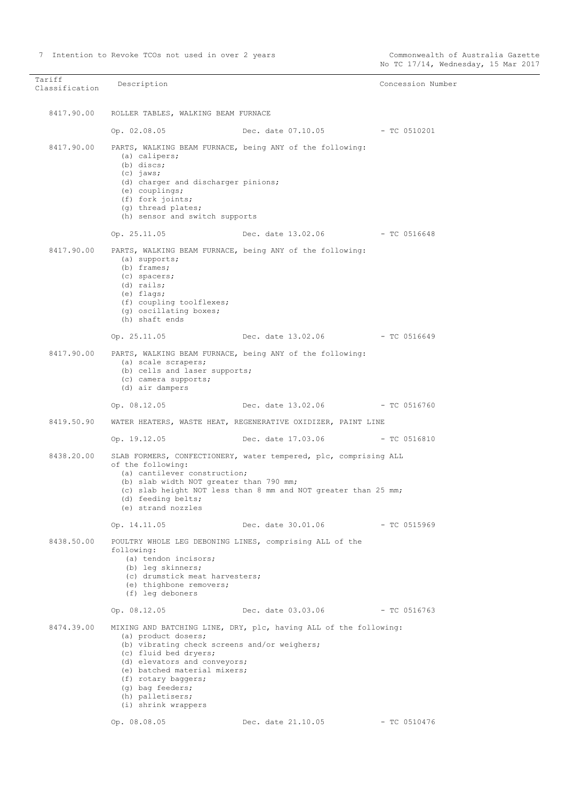Tariff Tariffication Description **Description** Description **Concession** Number 8417.90.00 ROLLER TABLES, WALKING BEAM FURNACE Op. 02.08.05 Dec. date 07.10.05 - TC 0510201 8417.90.00 PARTS, WALKING BEAM FURNACE, being ANY of the following: (a) calipers; (b) discs: (c) jaws; (d) charger and discharger pinions; (e) couplings; (f) fork joints; (g) thread plates; (h) sensor and switch supports Op. 25.11.05 Dec. date 13.02.06 - TC 0516648 8417.90.00 PARTS, WALKING BEAM FURNACE, being ANY of the following: (a) supports; (b) frames; (c) spacers; (d) rails; (e) flags; (f) coupling toolflexes; (g) oscillating boxes; (h) shaft ends Op. 25.11.05 Dec. date 13.02.06 - TC 0516649 8417.90.00 PARTS, WALKING BEAM FURNACE, being ANY of the following: (a) scale scrapers; (b) cells and laser supports; (c) camera supports; (d) air dampers Op. 08.12.05 Dec. date 13.02.06 - TC 0516760 8419.50.90 WATER HEATERS, WASTE HEAT, REGENERATIVE OXIDIZER, PAINT LINE Op. 19.12.05 Dec. date 17.03.06 - TC 0516810 8438.20.00 SLAB FORMERS, CONFECTIONERY, water tempered, plc, comprising ALL of the following: (a) cantilever construction; (b) slab width NOT greater than 790 mm; (c) slab height NOT less than 8 mm and NOT greater than 25 mm; (d) feeding belts; (e) strand nozzles Op. 14.11.05 Dec. date 30.01.06 - TC 0515969 8438.50.00 POULTRY WHOLE LEG DEBONING LINES, comprising ALL of the following: (a) tendon incisors; (b) leg skinners; (c) drumstick meat harvesters; (e) thighbone removers; (f) leg deboners Op. 08.12.05 Dec. date 03.03.06 - TC 0516763 8474.39.00 MIXING AND BATCHING LINE, DRY, plc, having ALL of the following: (a) product dosers; (b) vibrating check screens and/or weighers; (c) fluid bed dryers; (d) elevators and conveyors; (e) batched material mixers; (f) rotary baggers; (g) bag feeders; (h) palletisers; (i) shrink wrappers Op. 08.08.05 Dec. date 21.10.05 - TC 0510476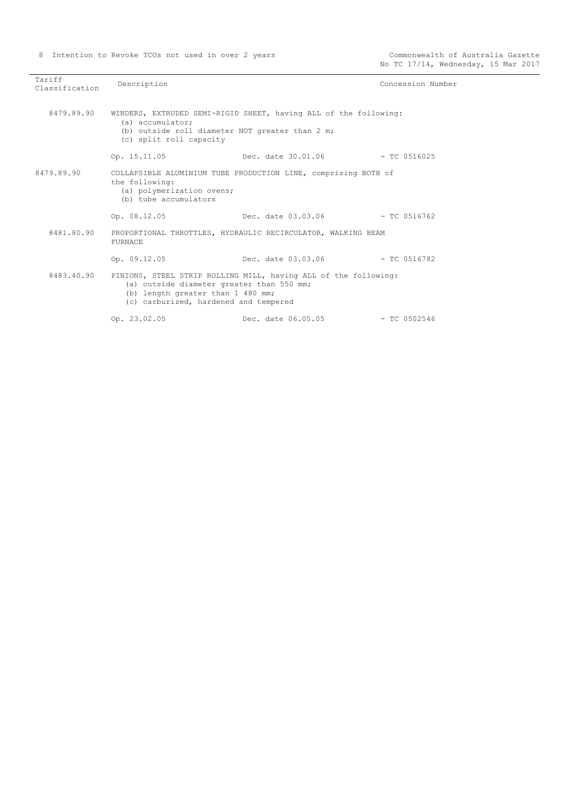| Tariff<br>Classification | Description                                                                                                             |                                                                            | Concession Number |
|--------------------------|-------------------------------------------------------------------------------------------------------------------------|----------------------------------------------------------------------------|-------------------|
| 8479.89.90               | (a) accumulator:<br>(b) outside roll diameter NOT greater than 2 m;<br>(c) split roll capacity                          | WINDERS, EXTRUDED SEMI-RIGID SHEET, having ALL of the following:           |                   |
|                          | Op. 15.11.05                                                                                                            | Dec. date 30.01.06 - TC 0516025                                            |                   |
| 8479.89.90               | the following:<br>(a) polymerization ovens;<br>(b) tube accumulators                                                    | COLLAPSIBLE ALUMINIUM TUBE PRODUCTION LINE, comprising BOTH of             |                   |
|                          | Op. 08.12.05                                                                                                            | Dec. date $03.03.06$ - TC 0516762                                          |                   |
| 8481.80.90               | <b>FURNACE</b>                                                                                                          | PROPORTIONAL THROTTLES, HYDRAULIC RECIRCULATOR, WALKING BEAM               |                   |
|                          | Op. 09.12.05                                                                                                            | Dec. date 03.03.06 - TC 0516782                                            |                   |
|                          | (a) outside diameter greater than 550 mm;<br>(b) length greater than 1 480 mm;<br>(c) carburized, hardened and tempered | 8483.40.90 PINIONS, STEEL STRIP ROLLING MILL, having ALL of the following: |                   |
|                          | Op. 23.02.05                                                                                                            | Dec. date 06.05.05                                                         | $-$ TC 0502546    |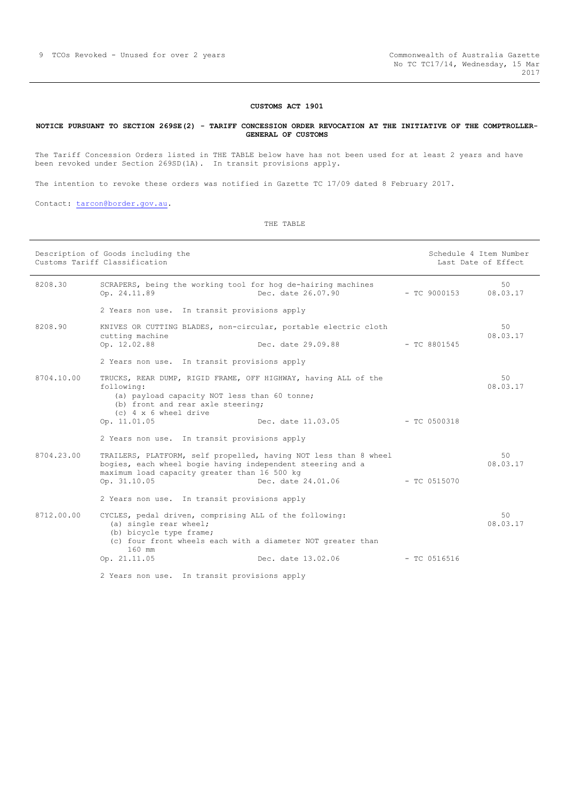#### **CUSTOMS ACT 1901**

#### <span id="page-8-0"></span>**NOTICE PURSUANT TO SECTION 269SE(2) - TARIFF CONCESSION ORDER REVOCATION AT THE INITIATIVE OF THE COMPTROLLER-GENERAL OF CUSTOMS**

The Tariff Concession Orders listed in THE TABLE below have has not been used for at least 2 years and have been revoked under Section 269SD(1A). In transit provisions apply.

The intention to revoke these orders was notified in Gazette TC 17/09 dated 8 February 2017.

Contact: [tarcon@border.gov.au.](mailto:tarcon@border.gov.au)

THE TABLE

|            | Description of Goods including the<br>Customs Tariff Classification                                                                                                                        |                                                                                        |                | Schedule 4 Item Number<br>Last Date of Effect |
|------------|--------------------------------------------------------------------------------------------------------------------------------------------------------------------------------------------|----------------------------------------------------------------------------------------|----------------|-----------------------------------------------|
| 8208.30    | SCRAPERS, being the working tool for hog de-hairing machines<br>Op. 24.11.89                                                                                                               | Dec. date 26.07.90                                                                     | $-$ TC 9000153 | 50<br>08.03.17                                |
|            | 2 Years non use. In transit provisions apply                                                                                                                                               |                                                                                        |                |                                               |
| 8208.90    | KNIVES OR CUTTING BLADES, non-circular, portable electric cloth<br>cutting machine<br>Op. 12.02.88                                                                                         | Dec. date $29.09.88$ - TC 8801545                                                      |                | 50<br>08.03.17                                |
|            | 2 Years non use. In transit provisions apply                                                                                                                                               |                                                                                        |                |                                               |
| 8704.10.00 | TRUCKS, REAR DUMP, RIGID FRAME, OFF HIGHWAY, having ALL of the<br>following:<br>(a) payload capacity NOT less than 60 tonne;<br>(b) front and rear axle steering;<br>(c) 4 x 6 wheel drive |                                                                                        |                | 50<br>08.03.17                                |
|            | Op. 11.01.05                                                                                                                                                                               | Dec. date 11.03.05                                                                     | $-TC0500318$   |                                               |
|            | 2 Years non use. In transit provisions apply                                                                                                                                               |                                                                                        |                |                                               |
| 8704.23.00 | bogies, each wheel bogie having independent steering and a<br>maximum load capacity greater than 16 500 kg<br>Op. 31.10.05                                                                 | TRAILERS, PLATFORM, self propelled, having NOT less than 8 wheel<br>Dec. date 24.01.06 | $-$ TC 0515070 | 50<br>08.03.17                                |
|            | 2 Years non use. In transit provisions apply                                                                                                                                               |                                                                                        |                |                                               |
| 8712.00.00 | CYCLES, pedal driven, comprising ALL of the following:<br>(a) single rear wheel;<br>(b) bicycle type frame;<br>(c) four front wheels each with a diameter NOT greater than<br>$160$ mm     |                                                                                        |                | 50<br>08.03.17                                |
|            | Op. 21.11.05                                                                                                                                                                               | Dec. date 13.02.06                                                                     | $-$ TC 0516516 |                                               |
|            | 2 Years non use. In transit provisions apply                                                                                                                                               |                                                                                        |                |                                               |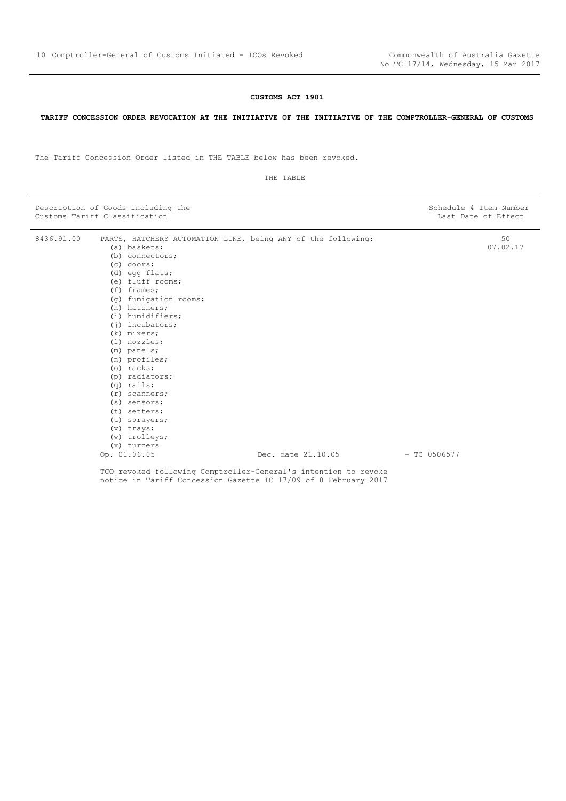#### **CUSTOMS ACT 1901**

#### <span id="page-9-0"></span>**TARIFF CONCESSION ORDER REVOCATION AT THE INITIATIVE OF THE INITIATIVE OF THE COMPTROLLER-GENERAL OF CUSTOMS**

The Tariff Concession Order listed in THE TABLE below has been revoked.

|                                                                                                                                                                                                                                                                                                                                                                                                                                                        | 50<br>07.02.17<br>$-$ TC 0506577                                                                                                                                                                                         |
|--------------------------------------------------------------------------------------------------------------------------------------------------------------------------------------------------------------------------------------------------------------------------------------------------------------------------------------------------------------------------------------------------------------------------------------------------------|--------------------------------------------------------------------------------------------------------------------------------------------------------------------------------------------------------------------------|
|                                                                                                                                                                                                                                                                                                                                                                                                                                                        |                                                                                                                                                                                                                          |
| (a) baskets;<br>(b) connectors;<br>$(c)$ doors;<br>(d) egg flats;<br>(e) fluff rooms;<br>$(f)$ frames;<br>(q) fumigation rooms;<br>(h) hatchers;<br>(i) humidifiers;<br>$(i)$ incubators;<br>(k) mixers;<br>$(l)$ nozzles;<br>$(m)$ panels;<br>(n) profiles;<br>$(o)$ racks;<br>(p) radiators;<br>$(q)$ rails;<br>$(r)$ scanners;<br>$(s)$ sensors;<br>(t) setters;<br>(u) sprayers;<br>$(v)$ trays;<br>(w) trolleys;<br>$(x)$ turners<br>Op. 01.06.05 | PARTS, HATCHERY AUTOMATION LINE, being ANY of the following:<br>Dec. date 21.10.05<br>TCO revoked following Comptroller-General's intention to revoke<br>notice in Tariff Concession Gazette TC 17/09 of 8 February 2017 |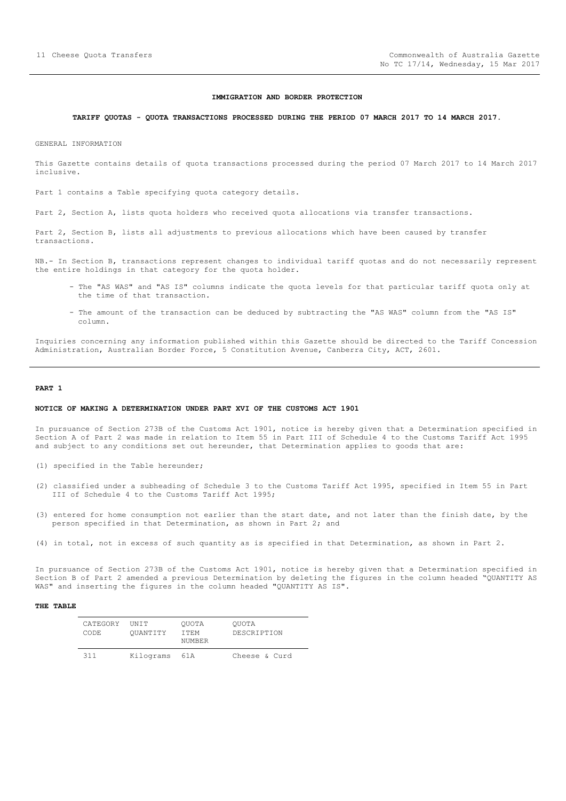#### **IMMIGRATION AND BORDER PROTECTION**

#### <span id="page-10-0"></span>**TARIFF QUOTAS - QUOTA TRANSACTIONS PROCESSED DURING THE PERIOD 07 MARCH 2017 TO 14 MARCH 2017.**

GENERAL INFORMATION

This Gazette contains details of quota transactions processed during the period 07 March 2017 to 14 March 2017 inclusive.

Part 1 contains a Table specifying quota category details.

Part 2, Section A, lists quota holders who received quota allocations via transfer transactions.

Part 2, Section B, lists all adjustments to previous allocations which have been caused by transfer transactions.

NB.- In Section B, transactions represent changes to individual tariff quotas and do not necessarily represent the entire holdings in that category for the quota holder.

- The "AS WAS" and "AS IS" columns indicate the quota levels for that particular tariff quota only at the time of that transaction.
- The amount of the transaction can be deduced by subtracting the "AS WAS" column from the "AS IS" column.

Inquiries concerning any information published within this Gazette should be directed to the Tariff Concession Administration, Australian Border Force, 5 Constitution Avenue, Canberra City, ACT, 2601.

#### **PART 1**

#### **NOTICE OF MAKING A DETERMINATION UNDER PART XVI OF THE CUSTOMS ACT 1901**

In pursuance of Section 273B of the Customs Act 1901, notice is hereby given that a Determination specified in Section A of Part 2 was made in relation to Item 55 in Part III of Schedule 4 to the Customs Tariff Act 1995 and subject to any conditions set out hereunder, that Determination applies to goods that are:

- (1) specified in the Table hereunder;
- (2) classified under a subheading of Schedule 3 to the Customs Tariff Act 1995, specified in Item 55 in Part III of Schedule 4 to the Customs Tariff Act 1995;
- (3) entered for home consumption not earlier than the start date, and not later than the finish date, by the person specified in that Determination, as shown in Part 2; and
- (4) in total, not in excess of such quantity as is specified in that Determination, as shown in Part 2.

In pursuance of Section 273B of the Customs Act 1901, notice is hereby given that a Determination specified in Section B of Part 2 amended a previous Determination by deleting the figures in the column headed "QUANTITY AS WAS" and inserting the figures in the column headed "QUANTITY AS IS".

#### **THE TABLE**

| CATEGORY<br>CODE. | <b>TINTT</b><br>OUANTITY | OUOTA<br>T TEM<br>NUMBER | OUOTA<br>DESCRIPTION |
|-------------------|--------------------------|--------------------------|----------------------|
| 311               | Kilograms                | 61 A                     | Cheese & Curd        |